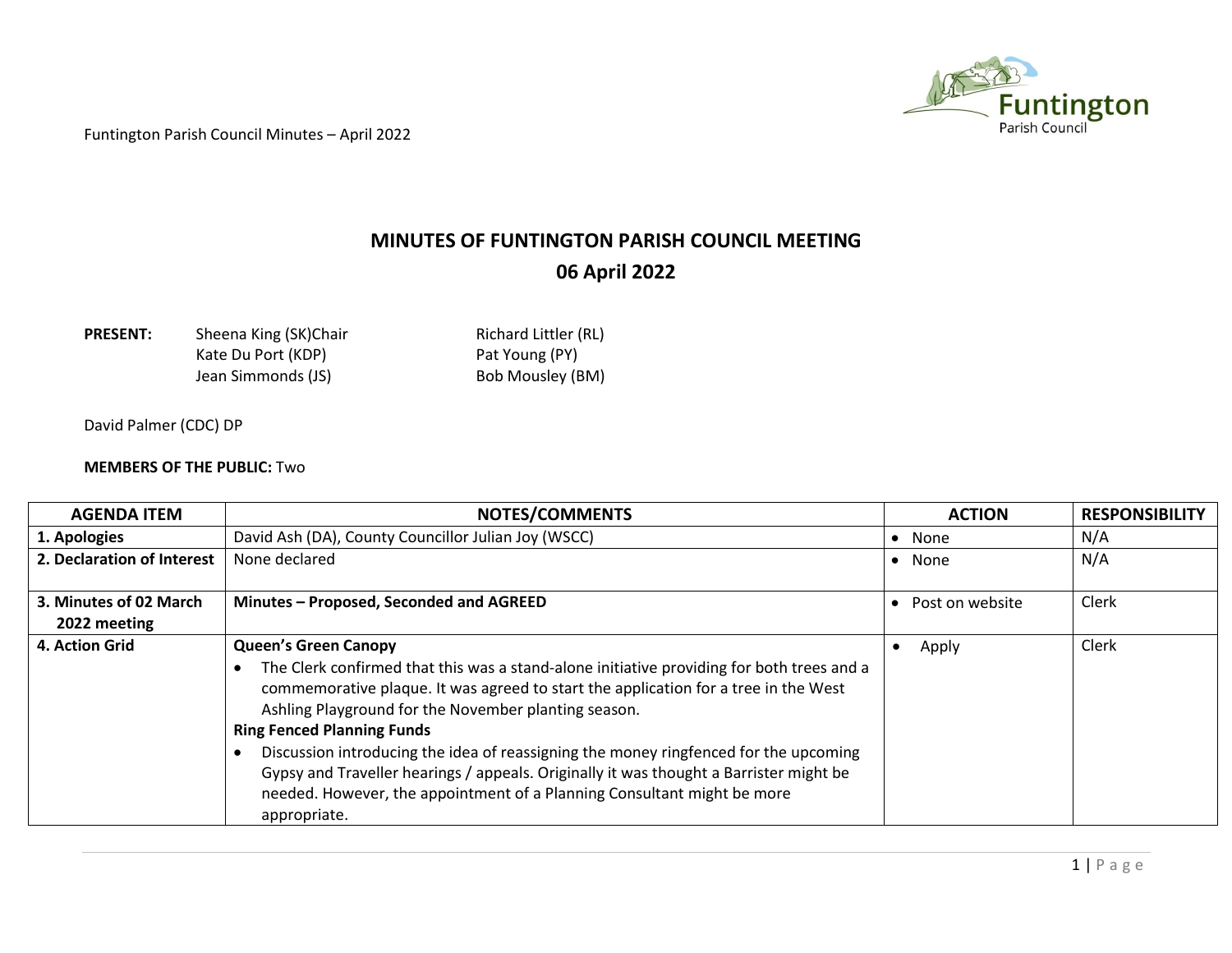

## **MINUTES OF FUNTINGTON PARISH COUNCIL MEETING 06 April 2022**

**PRESENT:** Sheena King (SK)Chair Richard Littler (RL) Kate Du Port (KDP) Pat Young (PY)

Jean Simmonds (JS) Bob Mousley (BM)

David Palmer (CDC) DP

## **MEMBERS OF THE PUBLIC:** Two

| <b>AGENDA ITEM</b>         | <b>NOTES/COMMENTS</b>                                                                                                                                                                                                                                                                                                                                                                                                                                                                                                                                                                     | <b>ACTION</b>   | <b>RESPONSIBILITY</b> |
|----------------------------|-------------------------------------------------------------------------------------------------------------------------------------------------------------------------------------------------------------------------------------------------------------------------------------------------------------------------------------------------------------------------------------------------------------------------------------------------------------------------------------------------------------------------------------------------------------------------------------------|-----------------|-----------------------|
| 1. Apologies               | David Ash (DA), County Councillor Julian Joy (WSCC)                                                                                                                                                                                                                                                                                                                                                                                                                                                                                                                                       | • None          | N/A                   |
| 2. Declaration of Interest | None declared                                                                                                                                                                                                                                                                                                                                                                                                                                                                                                                                                                             | • None          | N/A                   |
| 3. Minutes of 02 March     | Minutes - Proposed, Seconded and AGREED                                                                                                                                                                                                                                                                                                                                                                                                                                                                                                                                                   | Post on website | Clerk                 |
| 2022 meeting               |                                                                                                                                                                                                                                                                                                                                                                                                                                                                                                                                                                                           |                 |                       |
| 4. Action Grid             | <b>Queen's Green Canopy</b><br>The Clerk confirmed that this was a stand-alone initiative providing for both trees and a<br>commemorative plaque. It was agreed to start the application for a tree in the West<br>Ashling Playground for the November planting season.<br><b>Ring Fenced Planning Funds</b><br>Discussion introducing the idea of reassigning the money ringfenced for the upcoming<br>Gypsy and Traveller hearings / appeals. Originally it was thought a Barrister might be<br>needed. However, the appointment of a Planning Consultant might be more<br>appropriate. | Apply           | Clerk                 |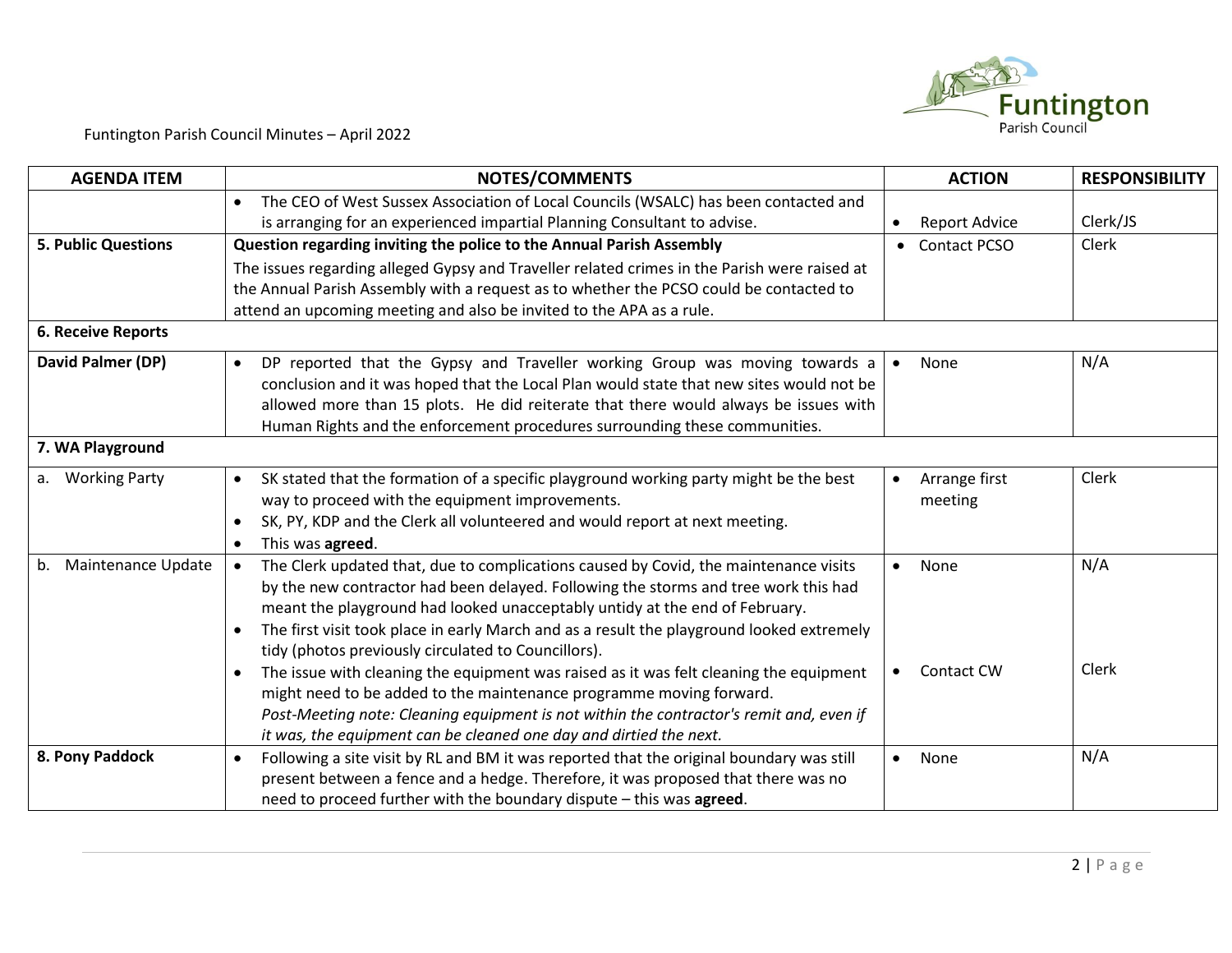

| <b>AGENDA ITEM</b>         | <b>NOTES/COMMENTS</b>                                                                                                                                                                                                                                                                                                                                                                                                                    | <b>ACTION</b>            | <b>RESPONSIBILITY</b> |
|----------------------------|------------------------------------------------------------------------------------------------------------------------------------------------------------------------------------------------------------------------------------------------------------------------------------------------------------------------------------------------------------------------------------------------------------------------------------------|--------------------------|-----------------------|
|                            | The CEO of West Sussex Association of Local Councils (WSALC) has been contacted and<br>$\bullet$<br>is arranging for an experienced impartial Planning Consultant to advise.                                                                                                                                                                                                                                                             | <b>Report Advice</b>     | Clerk/JS              |
| <b>5. Public Questions</b> | Question regarding inviting the police to the Annual Parish Assembly                                                                                                                                                                                                                                                                                                                                                                     | • Contact PCSO           | Clerk                 |
|                            | The issues regarding alleged Gypsy and Traveller related crimes in the Parish were raised at                                                                                                                                                                                                                                                                                                                                             |                          |                       |
|                            | the Annual Parish Assembly with a request as to whether the PCSO could be contacted to                                                                                                                                                                                                                                                                                                                                                   |                          |                       |
|                            | attend an upcoming meeting and also be invited to the APA as a rule.                                                                                                                                                                                                                                                                                                                                                                     |                          |                       |
| <b>6. Receive Reports</b>  |                                                                                                                                                                                                                                                                                                                                                                                                                                          |                          |                       |
| David Palmer (DP)          | DP reported that the Gypsy and Traveller working Group was moving towards a<br>$\bullet$<br>conclusion and it was hoped that the Local Plan would state that new sites would not be                                                                                                                                                                                                                                                      | None                     | N/A                   |
|                            | allowed more than 15 plots. He did reiterate that there would always be issues with<br>Human Rights and the enforcement procedures surrounding these communities.                                                                                                                                                                                                                                                                        |                          |                       |
| 7. WA Playground           |                                                                                                                                                                                                                                                                                                                                                                                                                                          |                          |                       |
| <b>Working Party</b><br>a. | SK stated that the formation of a specific playground working party might be the best<br>$\bullet$<br>way to proceed with the equipment improvements.<br>SK, PY, KDP and the Clerk all volunteered and would report at next meeting.<br>$\bullet$<br>This was agreed.<br>$\bullet$                                                                                                                                                       | Arrange first<br>meeting | Clerk                 |
| Maintenance Update<br>b.   | The Clerk updated that, due to complications caused by Covid, the maintenance visits<br>$\bullet$<br>by the new contractor had been delayed. Following the storms and tree work this had<br>meant the playground had looked unacceptably untidy at the end of February.<br>The first visit took place in early March and as a result the playground looked extremely<br>$\bullet$<br>tidy (photos previously circulated to Councillors). | None<br>$\bullet$        | N/A                   |
|                            | The issue with cleaning the equipment was raised as it was felt cleaning the equipment<br>$\bullet$<br>might need to be added to the maintenance programme moving forward.<br>Post-Meeting note: Cleaning equipment is not within the contractor's remit and, even if<br>it was, the equipment can be cleaned one day and dirtied the next.                                                                                              | Contact CW               | Clerk                 |
| 8. Pony Paddock            | Following a site visit by RL and BM it was reported that the original boundary was still<br>$\bullet$<br>present between a fence and a hedge. Therefore, it was proposed that there was no<br>need to proceed further with the boundary dispute - this was agreed.                                                                                                                                                                       | None<br>$\bullet$        | N/A                   |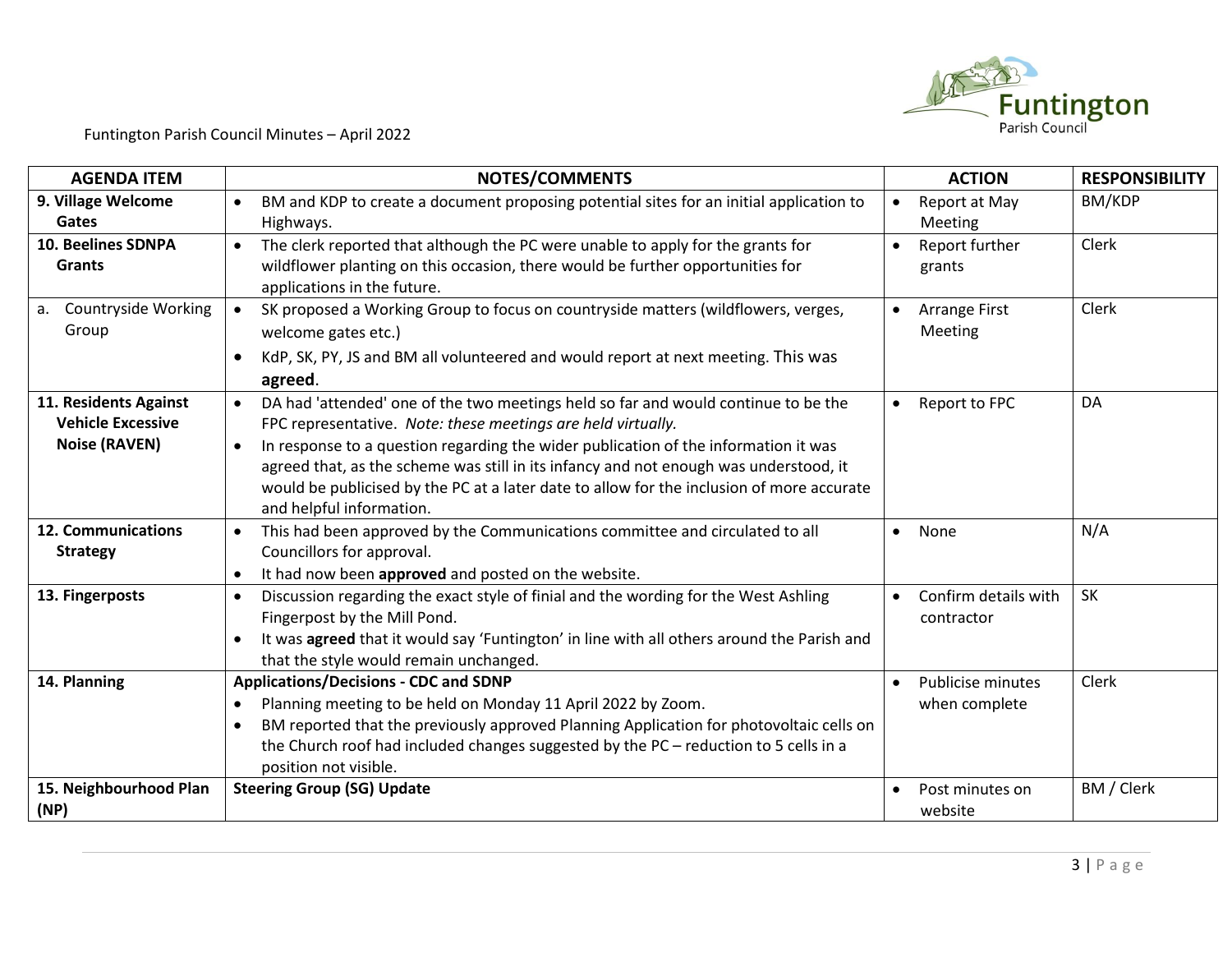

| <b>AGENDA ITEM</b>                                                        | <b>NOTES/COMMENTS</b>                                                                                                                                                                                                                                                                                                                                                                                                                                                                 | <b>ACTION</b>                      | <b>RESPONSIBILITY</b> |
|---------------------------------------------------------------------------|---------------------------------------------------------------------------------------------------------------------------------------------------------------------------------------------------------------------------------------------------------------------------------------------------------------------------------------------------------------------------------------------------------------------------------------------------------------------------------------|------------------------------------|-----------------------|
| 9. Village Welcome<br>Gates                                               | BM and KDP to create a document proposing potential sites for an initial application to<br>$\bullet$<br>Highways.                                                                                                                                                                                                                                                                                                                                                                     | Report at May<br>Meeting           | BM/KDP                |
| <b>10. Beelines SDNPA</b><br><b>Grants</b>                                | The clerk reported that although the PC were unable to apply for the grants for<br>$\bullet$<br>wildflower planting on this occasion, there would be further opportunities for<br>applications in the future.                                                                                                                                                                                                                                                                         | Report further<br>grants           | Clerk                 |
| a. Countryside Working<br>Group                                           | SK proposed a Working Group to focus on countryside matters (wildflowers, verges,<br>$\bullet$<br>welcome gates etc.)<br>KdP, SK, PY, JS and BM all volunteered and would report at next meeting. This was<br>$\bullet$<br>agreed.                                                                                                                                                                                                                                                    | Arrange First<br>Meeting           | Clerk                 |
| 11. Residents Against<br><b>Vehicle Excessive</b><br><b>Noise (RAVEN)</b> | DA had 'attended' one of the two meetings held so far and would continue to be the<br>$\bullet$<br>FPC representative. Note: these meetings are held virtually.<br>In response to a question regarding the wider publication of the information it was<br>$\bullet$<br>agreed that, as the scheme was still in its infancy and not enough was understood, it<br>would be publicised by the PC at a later date to allow for the inclusion of more accurate<br>and helpful information. | Report to FPC<br>$\bullet$         | DA                    |
| <b>12. Communications</b><br><b>Strategy</b>                              | This had been approved by the Communications committee and circulated to all<br>$\bullet$<br>Councillors for approval.<br>It had now been approved and posted on the website.<br>$\bullet$                                                                                                                                                                                                                                                                                            | None<br>$\bullet$                  | N/A                   |
| 13. Fingerposts                                                           | Discussion regarding the exact style of finial and the wording for the West Ashling<br>$\bullet$<br>Fingerpost by the Mill Pond.<br>It was agreed that it would say 'Funtington' in line with all others around the Parish and<br>that the style would remain unchanged.                                                                                                                                                                                                              | Confirm details with<br>contractor | <b>SK</b>             |
| 14. Planning                                                              | <b>Applications/Decisions - CDC and SDNP</b><br>Planning meeting to be held on Monday 11 April 2022 by Zoom.<br>$\bullet$<br>BM reported that the previously approved Planning Application for photovoltaic cells on<br>$\bullet$<br>the Church roof had included changes suggested by the PC - reduction to 5 cells in a<br>position not visible.                                                                                                                                    | Publicise minutes<br>when complete | Clerk                 |
| 15. Neighbourhood Plan<br>(NP)                                            | <b>Steering Group (SG) Update</b>                                                                                                                                                                                                                                                                                                                                                                                                                                                     | Post minutes on<br>website         | BM / Clerk            |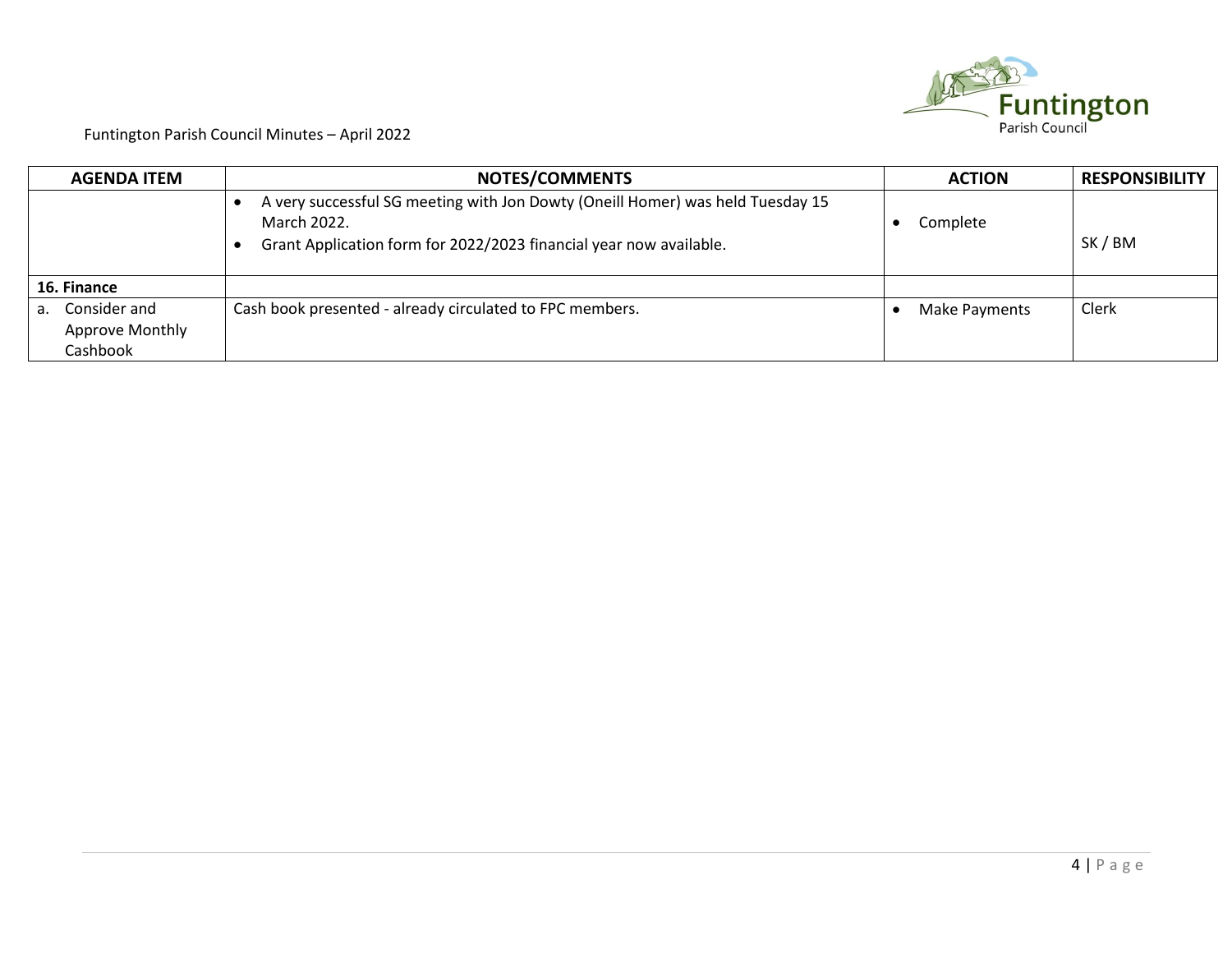

| <b>AGENDA ITEM</b>                                       | <b>NOTES/COMMENTS</b>                                                                                                                                               | <b>ACTION</b> | <b>RESPONSIBILITY</b> |
|----------------------------------------------------------|---------------------------------------------------------------------------------------------------------------------------------------------------------------------|---------------|-----------------------|
|                                                          | A very successful SG meeting with Jon Dowty (Oneill Homer) was held Tuesday 15<br>March 2022.<br>Grant Application form for 2022/2023 financial year now available. | Complete      | SK / BM               |
| 16. Finance                                              |                                                                                                                                                                     |               |                       |
| Consider and<br>а.<br><b>Approve Monthly</b><br>Cashbook | Cash book presented - already circulated to FPC members.                                                                                                            | Make Payments | Clerk                 |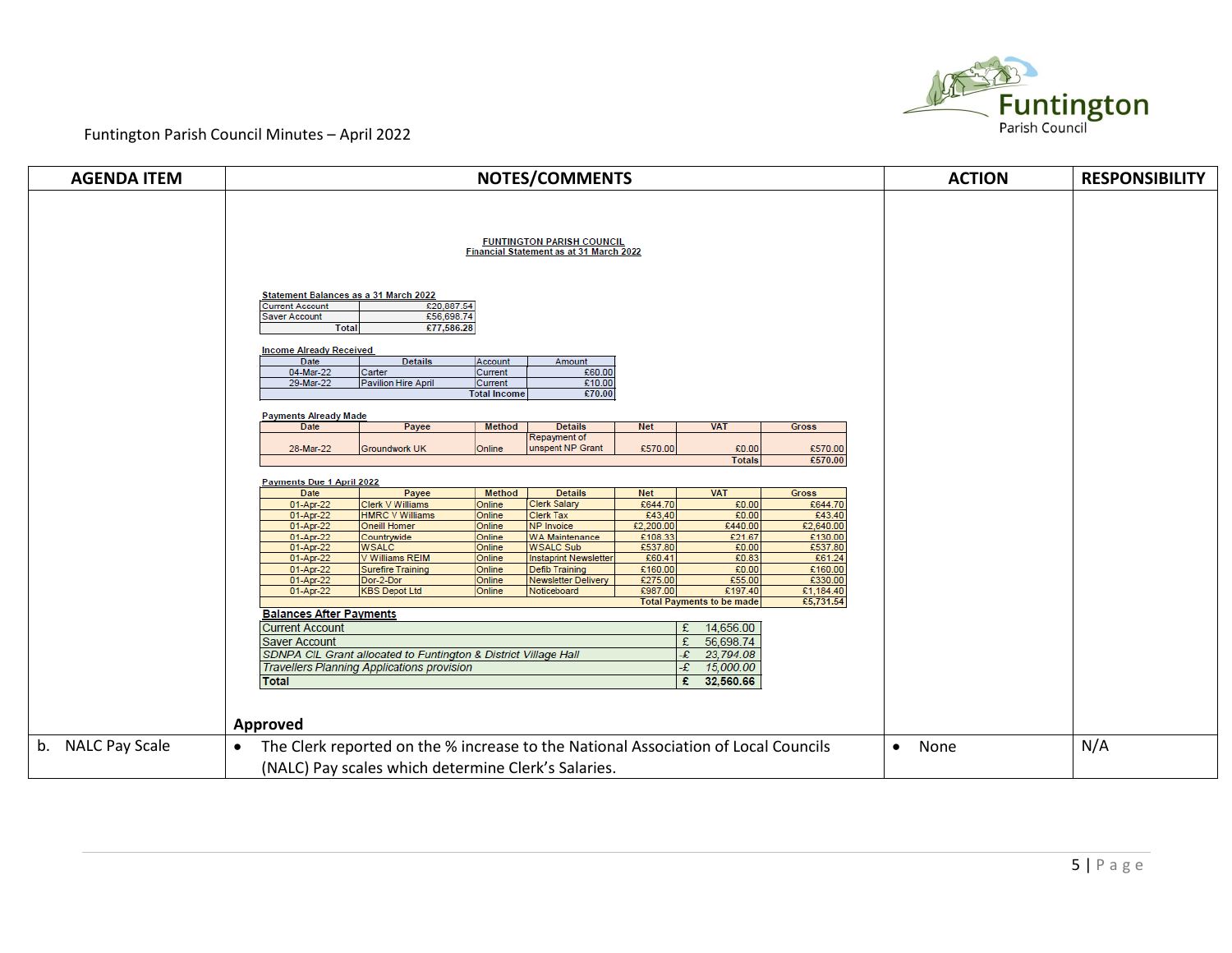

| <b>AGENDA ITEM</b> | <b>NOTES/COMMENTS</b>                                                                                                                                                                                                                                                                                                                                                                                                                                                                                                                                                                                                                                                                                                                                                                                                                                                                                                                                                                                                                                                                                                                                                                                                                                                                                                                                                                                              | <b>ACTION</b>     | <b>RESPONSIBILITY</b> |
|--------------------|--------------------------------------------------------------------------------------------------------------------------------------------------------------------------------------------------------------------------------------------------------------------------------------------------------------------------------------------------------------------------------------------------------------------------------------------------------------------------------------------------------------------------------------------------------------------------------------------------------------------------------------------------------------------------------------------------------------------------------------------------------------------------------------------------------------------------------------------------------------------------------------------------------------------------------------------------------------------------------------------------------------------------------------------------------------------------------------------------------------------------------------------------------------------------------------------------------------------------------------------------------------------------------------------------------------------------------------------------------------------------------------------------------------------|-------------------|-----------------------|
|                    | <b>FUNTINGTON PARISH COUNCIL</b><br>Financial Statement as at 31 March 2022<br>Statement Balances as a 31 March 2022<br><b>Current Account</b><br>€20,887.54<br>£56,698.74<br><b>Saver Account</b><br>€77,586.28<br><b>Total</b><br><b>Income Already Received</b><br>Date<br><b>Details</b><br>Account<br>Amount<br>04-Mar-22<br>Current<br>£60.00<br>Carter<br>29-Mar-22<br>£10.00<br>Pavilion Hire April<br>Current<br>£70.00<br><b>Total Income</b>                                                                                                                                                                                                                                                                                                                                                                                                                                                                                                                                                                                                                                                                                                                                                                                                                                                                                                                                                            |                   |                       |
|                    | <b>Payments Already Made</b><br>Date<br><b>Details</b><br><b>VAT</b><br>Payee<br>Method<br><b>Net</b><br><b>Gross</b><br>Repayment of<br>28-Mar-22<br>unspent NP Grant<br>€570.00<br>£0.00<br>£570.00<br><b>Groundwork UK</b><br>Online<br>€570.00<br><b>Totals</b>                                                                                                                                                                                                                                                                                                                                                                                                                                                                                                                                                                                                                                                                                                                                                                                                                                                                                                                                                                                                                                                                                                                                                |                   |                       |
|                    | Payments Due 1 April 2022<br><b>Date</b><br>Payee<br><b>VAT</b><br>Method<br><b>Details</b><br><b>Net</b><br>Gross<br><b>Clerk Salary</b><br>£644.70<br>£0.00<br>£644.70<br>01-Apr-22<br>Clerk V Williams<br>Online<br>01-Apr-22<br>£43,40<br>£0.00<br>£43.40<br><b>HMRC V Williams</b><br>Online<br><b>Clerk Tax</b><br>€2,200.00<br>€2,640.00<br>01-Apr-22<br>£440.00<br><b>Oneill Homer</b><br>Online<br>NP Invoice<br>£21.67<br>01-Apr-22<br>£108.33<br>£130.00<br>Countrywide<br>Online<br><b>WA Maintenance</b><br>£537.80<br><b>WSALC</b><br>£537.80<br>01-Apr-22<br><b>WSALC Sub</b><br>£0.00<br>Online<br>£60.41<br>£0.83<br>01-Apr-22<br>£61.24<br>V Williams REIM<br>Online<br>Instaprint Newsletter<br>£160.00<br>£0.00<br>£160.00<br>01-Apr-22<br><b>Surefire Training</b><br>Online<br><b>Defib Training</b><br>£275.00<br>£55.00<br>£330.00<br>01-Apr-22<br>Dor-2-Dor<br><b>Newsletter Delivery</b><br>Online<br>£987.00<br>£197.40<br>€1,184.40<br>01-Apr-22<br><b>KBS Depot Ltd</b><br>Online<br>Noticeboard<br>€5,731.54<br><b>Total Payments to be made</b><br><b>Balances After Payments</b><br><b>Current Account</b><br>14,656.00<br>£<br>56,698.74<br>E<br><b>Saver Account</b><br>SDNPA CIL Grant allocated to Funtington & District Village Hall<br>-£<br>23,794.08<br><b>Travellers Planning Applications provision</b><br>15,000.00<br>-£<br>32,560.66<br>£<br><b>Total</b><br>Approved |                   |                       |
| b. NALC Pay Scale  | The Clerk reported on the % increase to the National Association of Local Councils<br>$\bullet$<br>(NALC) Pay scales which determine Clerk's Salaries.                                                                                                                                                                                                                                                                                                                                                                                                                                                                                                                                                                                                                                                                                                                                                                                                                                                                                                                                                                                                                                                                                                                                                                                                                                                             | None<br>$\bullet$ | N/A                   |